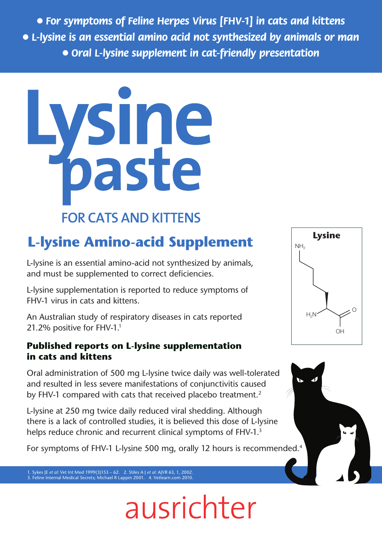● *For symptoms of Feline Herpes Virus [FHV-1] in cats and kittens*  ● *L-lysine is an essential amino acid not synthesized by animals or man*  ● *Oral L-lysine supplement in cat-friendly presentation*



# **L-lysine Amino-acid Supplement**

L-lysine is an essential amino-acid not synthesized by animals, and must be supplemented to correct deficiencies.

L-lysine supplementation is reported to reduce symptoms of FHV-1 virus in cats and kittens.

An Australian study of respiratory diseases in cats reported 21.2% positive for FHV-1.<sup>1</sup>

## **Published reports on L-lysine supplementation in cats and kittens**

Oral administration of 500 mg L-lysine twice daily was well-tolerated and resulted in less severe manifestations of conjunctivitis caused by FHV-1 compared with cats that received placebo treatment.<sup>2</sup>

L-lysine at 250 mg twice daily reduced viral shedding. Although there is a lack of controlled studies, it is believed this dose of L-lysine helps reduce chronic and recurrent clinical symptoms of FHV-1.<sup>3</sup>

For symptoms of FHV-1 L-lysine 500 mg, orally 12 hours is recommended.4

ausrichter

1. Sykes JE *et al:* Vet Int Med 1999(3)153 – 62. 2. Stiles A J *et al:* AJVR 63, 1, 2002. 3. Feline Internal Medical Secrets; Michael R Lappin 2001. 4. Vetlearn.com 2010.